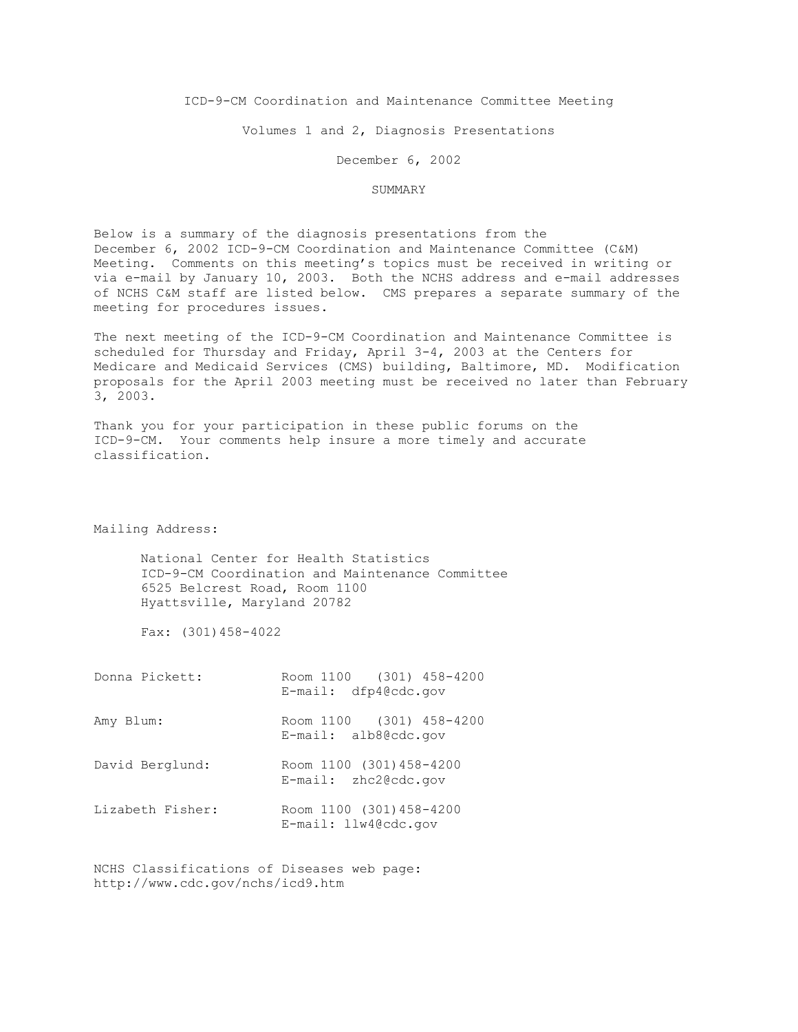ICD-9-CM Coordination and Maintenance Committee Meeting

Volumes 1 and 2, Diagnosis Presentations

December 6, 2002

#### SUMMARY

Below is a summary of the diagnosis presentations from the December 6, 2002 ICD-9-CM Coordination and Maintenance Committee (C&M) Meeting. Comments on this meeting's topics must be received in writing or via e-mail by January 10, 2003. Both the NCHS address and e-mail addresses of NCHS C&M staff are listed below. CMS prepares a separate summary of the meeting for procedures issues.

The next meeting of the ICD-9-CM Coordination and Maintenance Committee is scheduled for Thursday and Friday, April 3-4, 2003 at the Centers for Medicare and Medicaid Services (CMS) building, Baltimore, MD. Modification proposals for the April 2003 meeting must be received no later than February 3, 2003.

Thank you for your participation in these public forums on the ICD-9-CM. Your comments help insure a more timely and accurate classification.

Mailing Address:

National Center for Health Statistics ICD-9-CM Coordination and Maintenance Committee 6525 Belcrest Road, Room 1100 Hyattsville, Maryland 20782

Fax: (301)458-4022

| Donna Pickett:   | Room 1100 (301) 458-4200<br>$E$ -mail: dfp4@cdc.gov   |
|------------------|-------------------------------------------------------|
| Amy Blum:        | Room 1100 (301) 458-4200                              |
|                  | $E$ -mail: alb8@cdc.gov                               |
| David Berglund:  | Room 1100 (301) 458-4200<br>$E$ -mail: $zhc2@cdc.qov$ |
| Lizabeth Fisher: | Room 1100 (301) 458-4200<br>E-mail: llw4@cdc.gov      |

NCHS Classifications of Diseases web page: http://www.cdc.gov/nchs/icd9.htm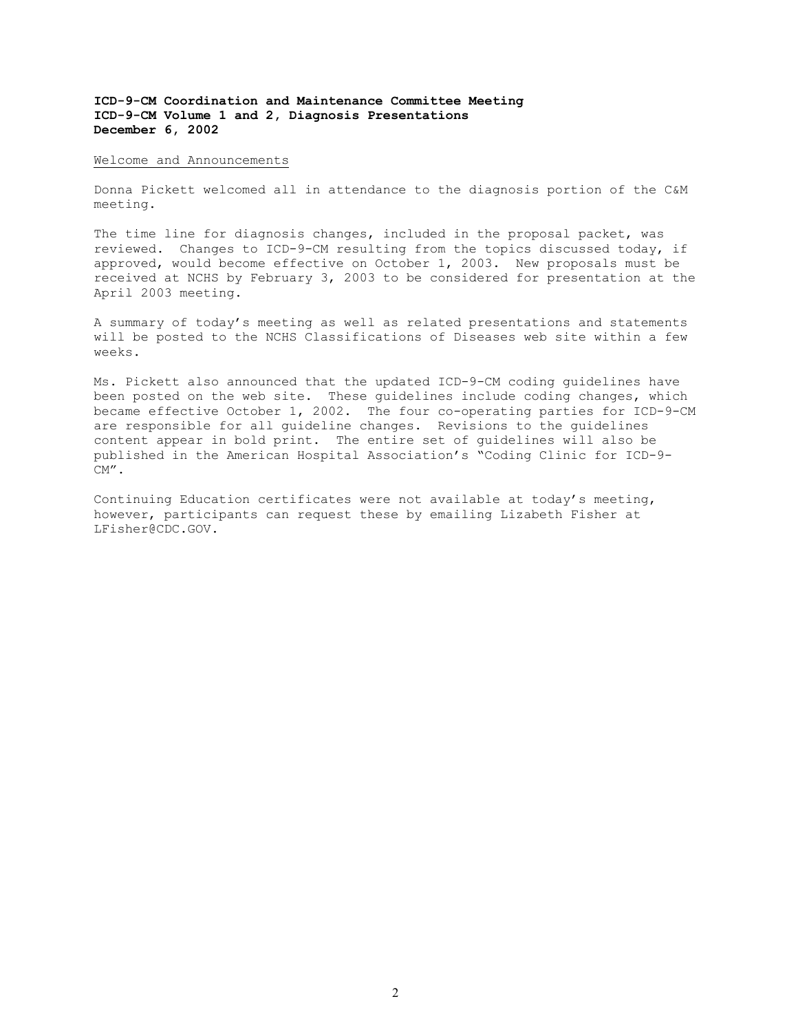#### Welcome and Announcements

Donna Pickett welcomed all in attendance to the diagnosis portion of the C&M meeting.

The time line for diagnosis changes, included in the proposal packet, was reviewed. Changes to ICD-9-CM resulting from the topics discussed today, if approved, would become effective on October 1, 2003. New proposals must be received at NCHS by February 3, 2003 to be considered for presentation at the April 2003 meeting.

A summary of today's meeting as well as related presentations and statements will be posted to the NCHS Classifications of Diseases web site within a few weeks.

Ms. Pickett also announced that the updated ICD-9-CM coding guidelines have been posted on the web site. These guidelines include coding changes, which became effective October 1, 2002. The four co-operating parties for ICD-9-CM are responsible for all guideline changes. Revisions to the guidelines content appear in bold print. The entire set of guidelines will also be published in the American Hospital Association's "Coding Clinic for ICD-9- CM".

Continuing Education certificates were not available at today's meeting, however, participants can request these by emailing Lizabeth Fisher at LFisher@CDC.GOV.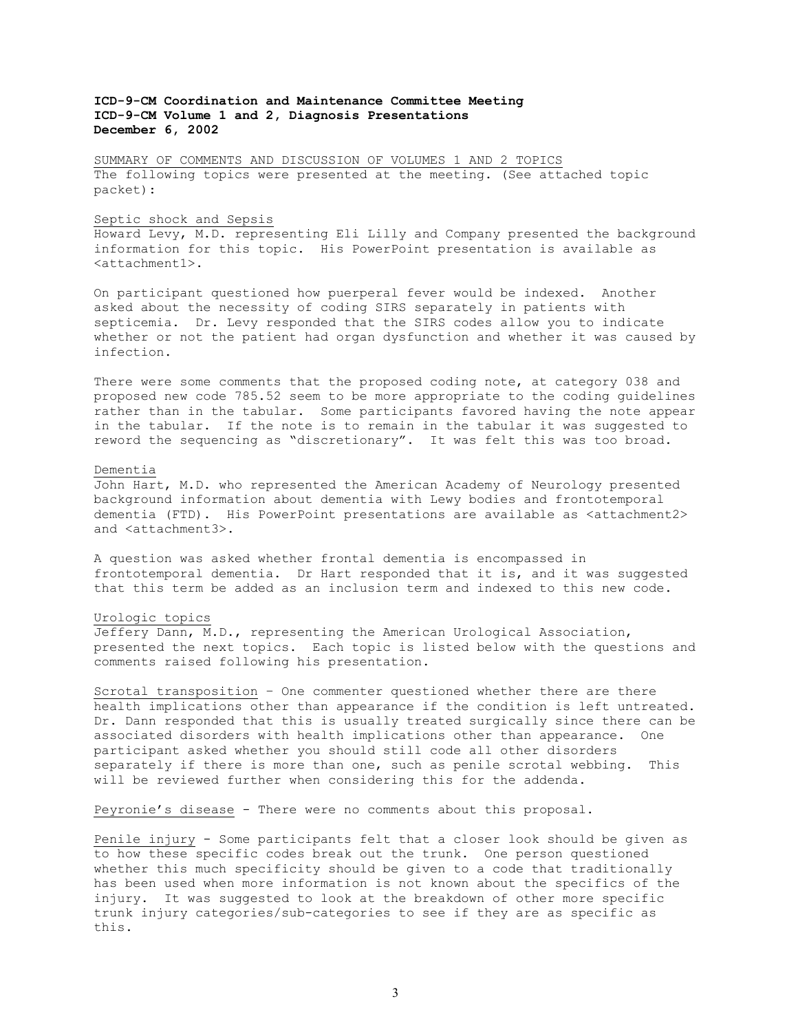SUMMARY OF COMMENTS AND DISCUSSION OF VOLUMES 1 AND 2 TOPICS The following topics were presented at the meeting. (See attached topic packet):

#### Septic shock and Sepsis

Howard Levy, M.D. representing Eli Lilly and Company presented the background information for this topic. His PowerPoint presentation is available as <attachment1>.

On participant questioned how puerperal fever would be indexed. Another asked about the necessity of coding SIRS separately in patients with septicemia. Dr. Levy responded that the SIRS codes allow you to indicate whether or not the patient had organ dysfunction and whether it was caused by infection.

There were some comments that the proposed coding note, at category 038 and proposed new code 785.52 seem to be more appropriate to the coding guidelines rather than in the tabular. Some participants favored having the note appear in the tabular. If the note is to remain in the tabular it was suggested to reword the sequencing as "discretionary". It was felt this was too broad.

#### Dementia

John Hart, M.D. who represented the American Academy of Neurology presented background information about dementia with Lewy bodies and frontotemporal dementia (FTD). His PowerPoint presentations are available as <attachment2> and <attachment3>.

A question was asked whether frontal dementia is encompassed in frontotemporal dementia. Dr Hart responded that it is, and it was suggested that this term be added as an inclusion term and indexed to this new code.

# Urologic topics

Jeffery Dann, M.D., representing the American Urological Association, presented the next topics. Each topic is listed below with the questions and comments raised following his presentation.

Scrotal transposition – One commenter questioned whether there are there health implications other than appearance if the condition is left untreated. Dr. Dann responded that this is usually treated surgically since there can be associated disorders with health implications other than appearance. One participant asked whether you should still code all other disorders separately if there is more than one, such as penile scrotal webbing. This will be reviewed further when considering this for the addenda.

Peyronie's disease - There were no comments about this proposal.

Penile injury - Some participants felt that a closer look should be given as to how these specific codes break out the trunk. One person questioned whether this much specificity should be given to a code that traditionally has been used when more information is not known about the specifics of the injury. It was suggested to look at the breakdown of other more specific trunk injury categories/sub-categories to see if they are as specific as this.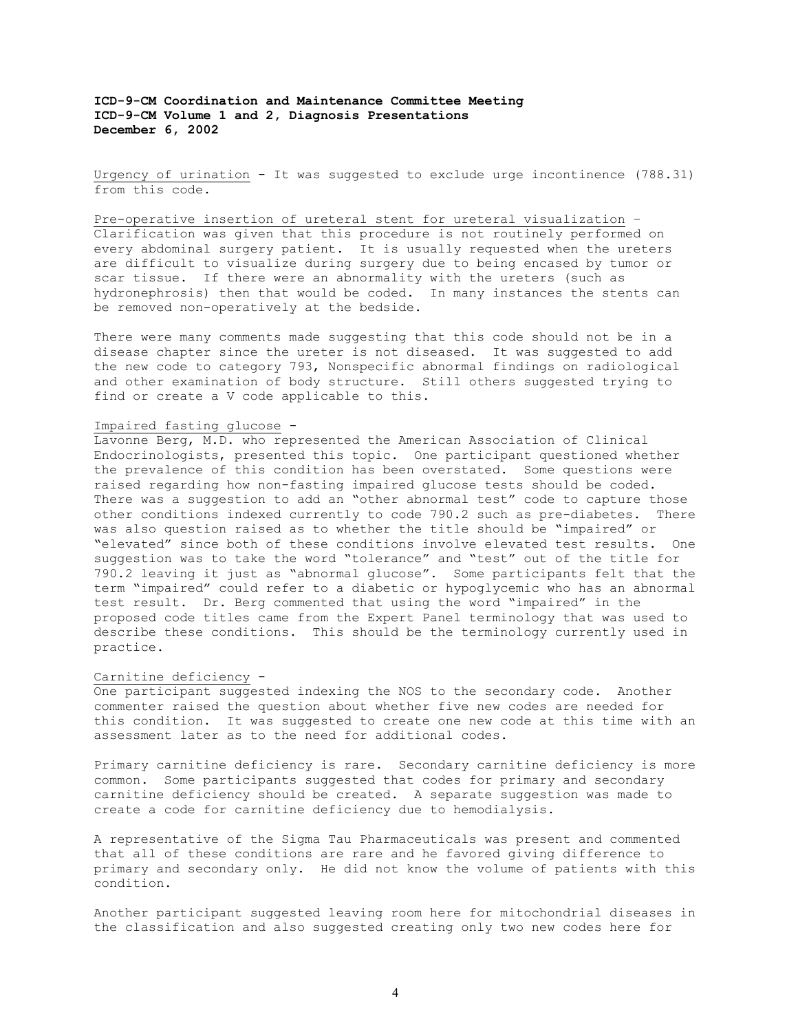Urgency of urination - It was suggested to exclude urge incontinence (788.31) from this code.

Pre-operative insertion of ureteral stent for ureteral visualization – Clarification was given that this procedure is not routinely performed on every abdominal surgery patient. It is usually requested when the ureters are difficult to visualize during surgery due to being encased by tumor or scar tissue. If there were an abnormality with the ureters (such as hydronephrosis) then that would be coded. In many instances the stents can be removed non-operatively at the bedside.

There were many comments made suggesting that this code should not be in a disease chapter since the ureter is not diseased. It was suggested to add the new code to category 793, Nonspecific abnormal findings on radiological and other examination of body structure. Still others suggested trying to find or create a V code applicable to this.

## Impaired fasting glucose -

Lavonne Berg, M.D. who represented the American Association of Clinical Endocrinologists, presented this topic. One participant questioned whether the prevalence of this condition has been overstated. Some questions were raised regarding how non-fasting impaired glucose tests should be coded. There was a suggestion to add an "other abnormal test" code to capture those other conditions indexed currently to code 790.2 such as pre-diabetes. There was also question raised as to whether the title should be "impaired" or "elevated" since both of these conditions involve elevated test results. One suggestion was to take the word "tolerance" and "test" out of the title for 790.2 leaving it just as "abnormal glucose". Some participants felt that the term "impaired" could refer to a diabetic or hypoglycemic who has an abnormal test result. Dr. Berg commented that using the word "impaired" in the proposed code titles came from the Expert Panel terminology that was used to describe these conditions. This should be the terminology currently used in practice.

### Carnitine deficiency -

One participant suggested indexing the NOS to the secondary code. Another commenter raised the question about whether five new codes are needed for this condition. It was suggested to create one new code at this time with an assessment later as to the need for additional codes.

Primary carnitine deficiency is rare. Secondary carnitine deficiency is more common. Some participants suggested that codes for primary and secondary carnitine deficiency should be created. A separate suggestion was made to create a code for carnitine deficiency due to hemodialysis.

A representative of the Sigma Tau Pharmaceuticals was present and commented that all of these conditions are rare and he favored giving difference to primary and secondary only. He did not know the volume of patients with this condition.

Another participant suggested leaving room here for mitochondrial diseases in the classification and also suggested creating only two new codes here for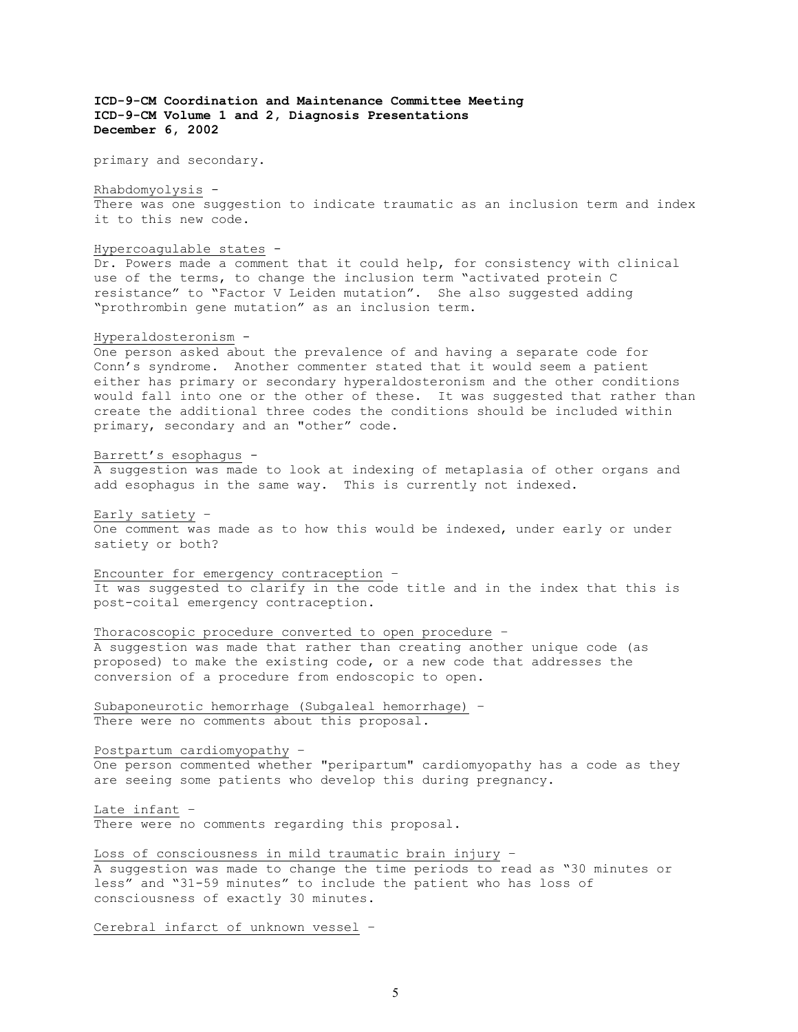primary and secondary.

Rhabdomyolysis -

There was one suggestion to indicate traumatic as an inclusion term and index it to this new code.

Hypercoagulable states -

Dr. Powers made a comment that it could help, for consistency with clinical use of the terms, to change the inclusion term "activated protein C resistance" to "Factor V Leiden mutation". She also suggested adding "prothrombin gene mutation" as an inclusion term.

# Hyperaldosteronism -

One person asked about the prevalence of and having a separate code for Conn's syndrome. Another commenter stated that it would seem a patient either has primary or secondary hyperaldosteronism and the other conditions would fall into one or the other of these. It was suggested that rather than create the additional three codes the conditions should be included within primary, secondary and an "other" code.

# Barrett's esophagus -

A suggestion was made to look at indexing of metaplasia of other organs and add esophagus in the same way. This is currently not indexed.

Early satiety –

One comment was made as to how this would be indexed, under early or under satiety or both?

Encounter for emergency contraception –

It was suggested to clarify in the code title and in the index that this is post-coital emergency contraception.

Thoracoscopic procedure converted to open procedure – A suggestion was made that rather than creating another unique code (as proposed) to make the existing code, or a new code that addresses the

Subaponeurotic hemorrhage (Subgaleal hemorrhage) – There were no comments about this proposal.

conversion of a procedure from endoscopic to open.

Postpartum cardiomyopathy –

One person commented whether "peripartum" cardiomyopathy has a code as they are seeing some patients who develop this during pregnancy.

Late infant – There were no comments regarding this proposal.

Loss of consciousness in mild traumatic brain injury – A suggestion was made to change the time periods to read as "30 minutes or less" and "31-59 minutes" to include the patient who has loss of consciousness of exactly 30 minutes.

Cerebral infarct of unknown vessel –